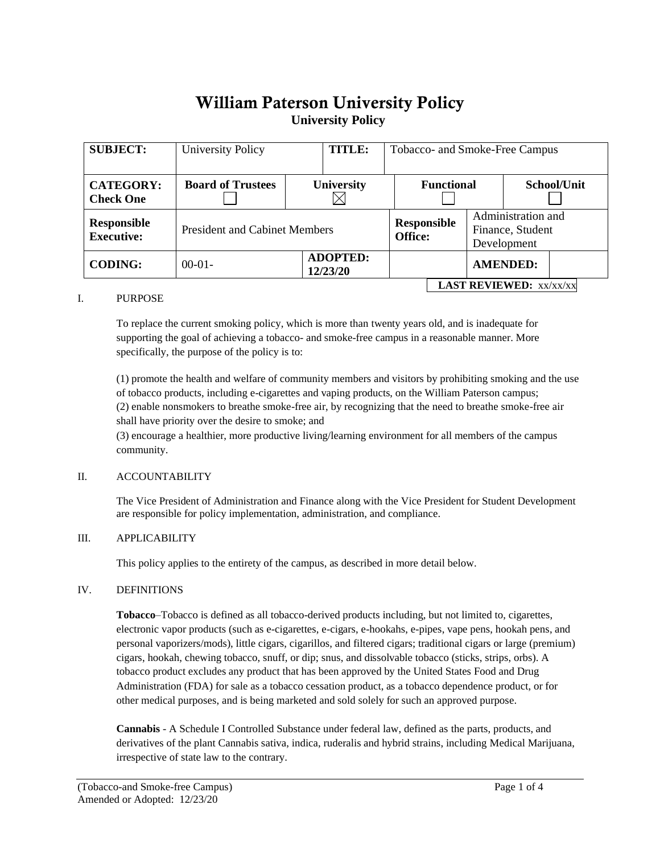# William Paterson University Policy **University Policy**

| <b>SUBJECT:</b>                      | University Policy                    |                   | <b>TITLE:</b>               | Tobacco- and Smoke-Free Campus |                                      |  |                 |                                                       |  |
|--------------------------------------|--------------------------------------|-------------------|-----------------------------|--------------------------------|--------------------------------------|--|-----------------|-------------------------------------------------------|--|
| <b>CATEGORY:</b><br><b>Check One</b> | <b>Board of Trustees</b>             | <b>University</b> |                             |                                | <b>Functional</b>                    |  |                 | School/Unit                                           |  |
| Responsible<br><b>Executive:</b>     | <b>President and Cabinet Members</b> |                   |                             |                                | <b>Responsible</b><br><b>Office:</b> |  |                 | Administration and<br>Finance, Student<br>Development |  |
| <b>CODING:</b>                       | $00-01-$                             |                   | <b>ADOPTED:</b><br>12/23/20 |                                |                                      |  | <b>AMENDED:</b> |                                                       |  |
| <b>LAST REVIEWED: XX/XX/XX</b>       |                                      |                   |                             |                                |                                      |  |                 |                                                       |  |

#### I. PURPOSE

To replace the current smoking policy, which is more than twenty years old, and is inadequate for supporting the goal of achieving a tobacco- and smoke-free campus in a reasonable manner. More specifically, the purpose of the policy is to:

(1) promote the health and welfare of community members and visitors by prohibiting smoking and the use of tobacco products, including e-cigarettes and vaping products, on the William Paterson campus; (2) enable nonsmokers to breathe smoke-free air, by recognizing that the need to breathe smoke-free air shall have priority over the desire to smoke; and

(3) encourage a healthier, more productive living/learning environment for all members of the campus community.

# II. ACCOUNTABILITY

The Vice President of Administration and Finance along with the Vice President for Student Development are responsible for policy implementation, administration, and compliance.

#### III. APPLICABILITY

This policy applies to the entirety of the campus, as described in more detail below.

#### IV. DEFINITIONS

**Tobacco**–Tobacco is defined as all tobacco-derived products including, but not limited to, cigarettes, electronic vapor products (such as e-cigarettes, e-cigars, e-hookahs, e-pipes, vape pens, hookah pens, and personal vaporizers/mods), little cigars, cigarillos, and filtered cigars; traditional cigars or large (premium) cigars, hookah, chewing tobacco, snuff, or dip; snus, and dissolvable tobacco (sticks, strips, orbs). A tobacco product excludes any product that has been approved by the United States Food and Drug Administration (FDA) for sale as a tobacco cessation product, as a tobacco dependence product, or for other medical purposes, and is being marketed and sold solely for such an approved purpose.

**Cannabis** - A Schedule I Controlled Substance under federal law, defined as the parts, products, and derivatives of the plant Cannabis sativa, indica, ruderalis and hybrid strains, including Medical Marijuana, irrespective of state law to the contrary.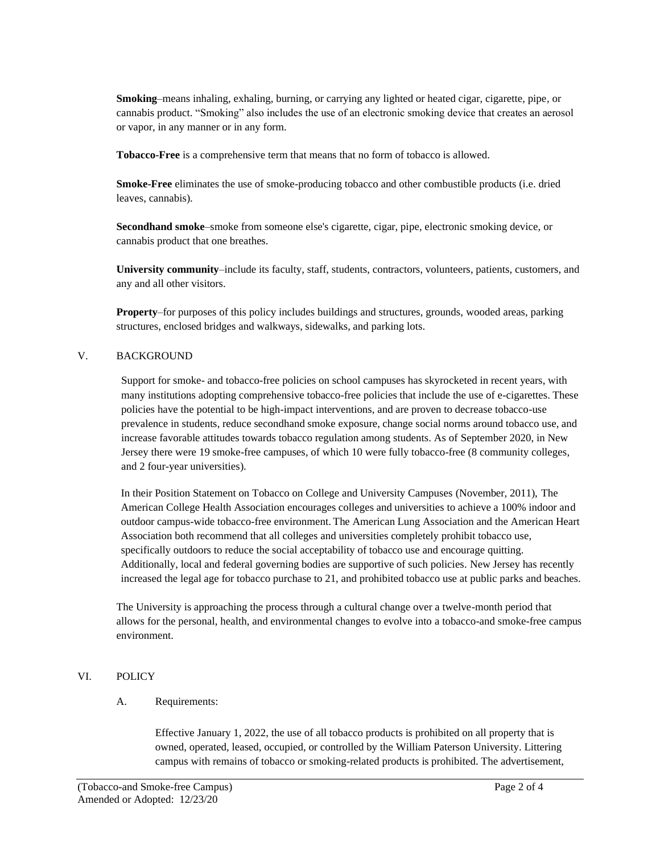**Smoking**–means inhaling, exhaling, burning, or carrying any lighted or heated cigar, cigarette, pipe, or cannabis product. "Smoking" also includes the use of an electronic smoking device that creates an aerosol or vapor, in any manner or in any form.

**Tobacco-Free** is a comprehensive term that means that no form of tobacco is allowed.

**Smoke-Free** eliminates the use of smoke-producing tobacco and other combustible products (i.e. dried leaves, cannabis).

**Secondhand smoke**–smoke from someone else's cigarette, cigar, pipe, electronic smoking device, or cannabis product that one breathes.

**University community**–include its faculty, staff, students, contractors, volunteers, patients, customers, and any and all other visitors.

**Property**–for purposes of this policy includes buildings and structures, grounds, wooded areas, parking structures, enclosed bridges and walkways, sidewalks, and parking lots.

# V. BACKGROUND

Support for smoke- and tobacco-free policies on school campuses has skyrocketed in recent years, with many institutions adopting comprehensive tobacco-free policies that include the use of e-cigarettes. These policies have the potential to be high-impact interventions, and are proven to decrease tobacco-use prevalence in students, reduce secondhand smoke exposure, change social norms around tobacco use, and increase favorable attitudes towards tobacco regulation among students. As of September 2020, in New Jersey there were 19 smoke-free campuses, of which 10 were fully tobacco-free (8 community colleges, and 2 four-year universities).

In their Position Statement on Tobacco on College and University Campuses (November, 2011), The American College Health Association encourages colleges and universities to achieve a 100% indoor and outdoor campus-wide tobacco-free environment. The American Lung Association and the American Heart Association both recommend that all colleges and universities completely prohibit tobacco use, specifically outdoors to reduce the social acceptability of tobacco use and encourage quitting. Additionally, local and federal governing bodies are supportive of such policies. New Jersey has recently increased the legal age for tobacco purchase to 21, and prohibited tobacco use at public parks and beaches.

The University is approaching the process through a cultural change over a twelve-month period that allows for the personal, health, and environmental changes to evolve into a tobacco-and smoke-free campus environment.

# VI. POLICY

#### A. Requirements:

Effective January 1, 2022, the use of all tobacco products is prohibited on all property that is owned, operated, leased, occupied, or controlled by the William Paterson University. Littering campus with remains of tobacco or smoking-related products is prohibited. The advertisement,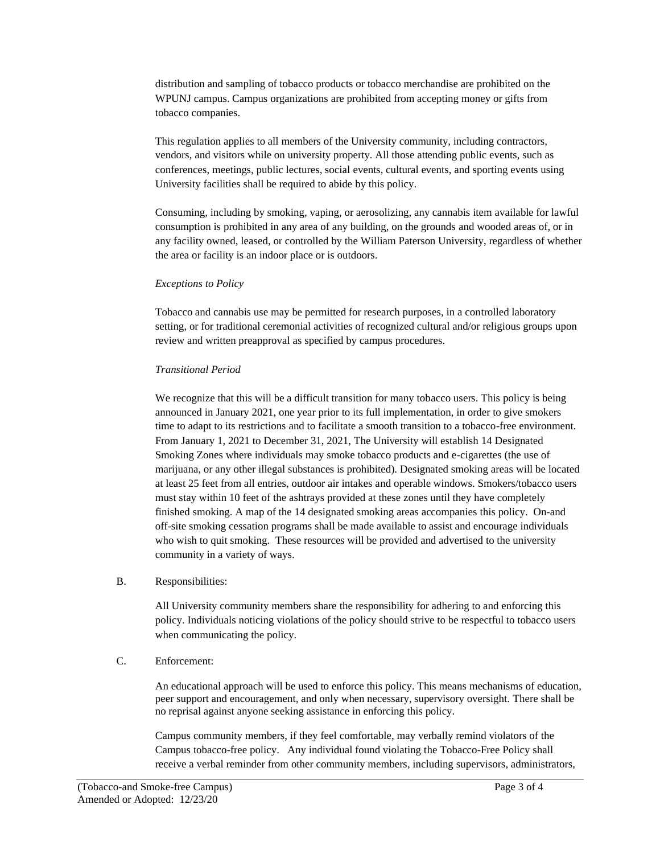distribution and sampling of tobacco products or tobacco merchandise are prohibited on the WPUNJ campus. Campus organizations are prohibited from accepting money or gifts from tobacco companies.

This regulation applies to all members of the University community, including contractors, vendors, and visitors while on university property. All those attending public events, such as conferences, meetings, public lectures, social events, cultural events, and sporting events using University facilities shall be required to abide by this policy.

Consuming, including by smoking, vaping, or aerosolizing, any cannabis item available for lawful consumption is prohibited in any area of any building, on the grounds and wooded areas of, or in any facility owned, leased, or controlled by the William Paterson University, regardless of whether the area or facility is an indoor place or is outdoors.

## *Exceptions to Policy*

Tobacco and cannabis use may be permitted for research purposes, in a controlled laboratory setting, or for traditional ceremonial activities of recognized cultural and/or religious groups upon review and written preapproval as specified by campus procedures.

## *Transitional Period*

We recognize that this will be a difficult transition for many tobacco users. This policy is being announced in January 2021, one year prior to its full implementation, in order to give smokers time to adapt to its restrictions and to facilitate a smooth transition to a tobacco-free environment. From January 1, 2021 to December 31, 2021, The University will establish 14 Designated Smoking Zones where individuals may smoke tobacco products and e-cigarettes (the use of marijuana, or any other illegal substances is prohibited). Designated smoking areas will be located at least 25 feet from all entries, outdoor air intakes and operable windows. Smokers/tobacco users must stay within 10 feet of the ashtrays provided at these zones until they have completely finished smoking. A map of the 14 designated smoking areas accompanies this policy. On-and off-site smoking cessation programs shall be made available to assist and encourage individuals who wish to quit smoking. These resources will be provided and advertised to the university community in a variety of ways.

#### B. Responsibilities:

All University community members share the responsibility for adhering to and enforcing this policy. Individuals noticing violations of the policy should strive to be respectful to tobacco users when communicating the policy.

# C. Enforcement:

An educational approach will be used to enforce this policy. This means mechanisms of education, peer support and encouragement, and only when necessary, supervisory oversight. There shall be no reprisal against anyone seeking assistance in enforcing this policy.

Campus community members, if they feel comfortable, may verbally remind violators of the Campus tobacco-free policy. Any individual found violating the Tobacco-Free Policy shall receive a verbal reminder from other community members, including supervisors, administrators,